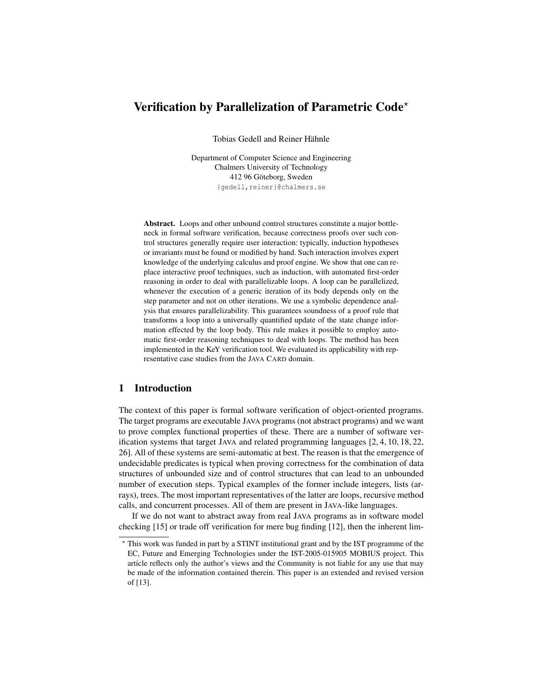# Verification by Parallelization of Parametric Code<sup> $\star$ </sup>

Tobias Gedell and Reiner Hähnle

Department of Computer Science and Engineering Chalmers University of Technology 412 96 Göteborg, Sweden {gedell,reiner}@chalmers.se

Abstract. Loops and other unbound control structures constitute a major bottleneck in formal software verification, because correctness proofs over such control structures generally require user interaction: typically, induction hypotheses or invariants must be found or modified by hand. Such interaction involves expert knowledge of the underlying calculus and proof engine. We show that one can replace interactive proof techniques, such as induction, with automated first-order reasoning in order to deal with parallelizable loops. A loop can be parallelized, whenever the execution of a generic iteration of its body depends only on the step parameter and not on other iterations. We use a symbolic dependence analysis that ensures parallelizability. This guarantees soundness of a proof rule that transforms a loop into a universally quantified update of the state change information effected by the loop body. This rule makes it possible to employ automatic first-order reasoning techniques to deal with loops. The method has been implemented in the KeY verification tool. We evaluated its applicability with representative case studies from the JAVA CARD domain.

## 1 Introduction

The context of this paper is formal software verification of object-oriented programs. The target programs are executable JAVA programs (not abstract programs) and we want to prove complex functional properties of these. There are a number of software verification systems that target JAVA and related programming languages [2, 4, 10, 18, 22, 26]. All of these systems are semi-automatic at best. The reason is that the emergence of undecidable predicates is typical when proving correctness for the combination of data structures of unbounded size and of control structures that can lead to an unbounded number of execution steps. Typical examples of the former include integers, lists (arrays), trees. The most important representatives of the latter are loops, recursive method calls, and concurrent processes. All of them are present in JAVA-like languages.

If we do not want to abstract away from real JAVA programs as in software model checking [15] or trade off verification for mere bug finding [12], then the inherent lim-

<sup>?</sup> This work was funded in part by a STINT institutional grant and by the IST programme of the EC, Future and Emerging Technologies under the IST-2005-015905 MOBIUS project. This article reflects only the author's views and the Community is not liable for any use that may be made of the information contained therein. This paper is an extended and revised version of [13].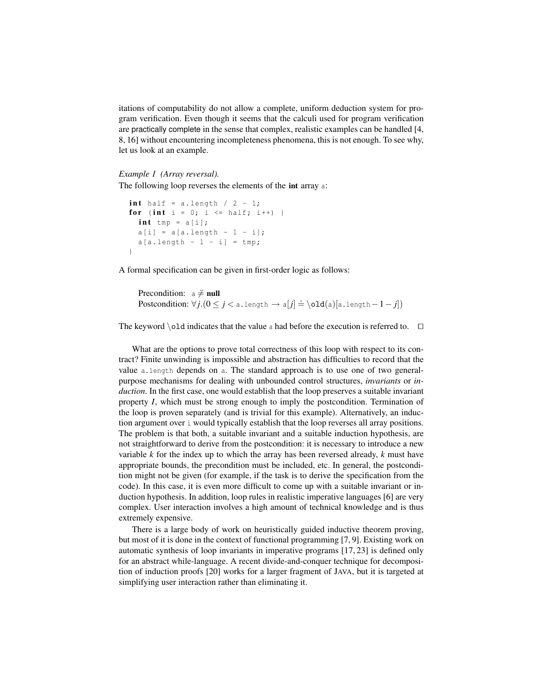itations of computability do not allow a complete, uniform deduction system for program verification. Even though it seems that the calculi used for program verification are practically complete in the sense that complex, realistic examples can be handled [4, 8, 16] without encountering incompleteness phenomena, this is not enough. To see why, let us look at an example.

#### *Example 1 (Array reversal).*

The following loop reverses the elements of the int array a:

```
int half = a. length / 2 - 1;
for (int i = 0; i \le half; i++) {
  int tmp = a[i];a[i] = a[a.length - 1 - i];a[a.length - 1 - i] = tmp;}
```
A formal specification can be given in first-order logic as follows:

```
Precondition: a \neq nullPostcondition: ∀ j.(0 ≤ j < a.length → a[ j]
.= \old(a)[a.length−1− j])
```
The keyword \old indicates that the value a had before the execution is referred to.  $\Box$ 

What are the options to prove total correctness of this loop with respect to its contract? Finite unwinding is impossible and abstraction has difficulties to record that the value a.length depends on a. The standard approach is to use one of two generalpurpose mechanisms for dealing with unbounded control structures, *invariants* or *induction*. In the first case, one would establish that the loop preserves a suitable invariant property *I*, which must be strong enough to imply the postcondition. Termination of the loop is proven separately (and is trivial for this example). Alternatively, an induction argument over i would typically establish that the loop reverses all array positions. The problem is that both, a suitable invariant and a suitable induction hypothesis, are not straightforward to derive from the postcondition: it is necessary to introduce a new variable *k* for the index up to which the array has been reversed already, *k* must have appropriate bounds, the precondition must be included, etc. In general, the postcondition might not be given (for example, if the task is to derive the specification from the code). In this case, it is even more difficult to come up with a suitable invariant or induction hypothesis. In addition, loop rules in realistic imperative languages [6] are very complex. User interaction involves a high amount of technical knowledge and is thus extremely expensive.

There is a large body of work on heuristically guided inductive theorem proving, but most of it is done in the context of functional programming [7, 9]. Existing work on automatic synthesis of loop invariants in imperative programs [17, 23] is defined only for an abstract while-language. A recent divide-and-conquer technique for decomposition of induction proofs [20] works for a larger fragment of JAVA, but it is targeted at simplifying user interaction rather than eliminating it.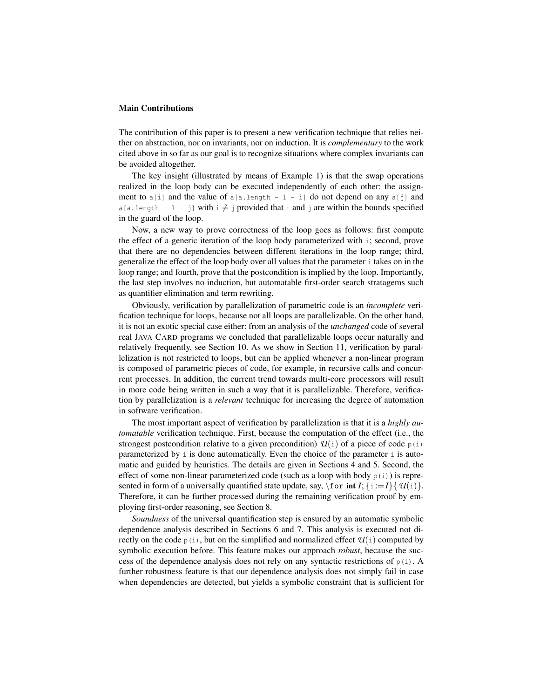#### Main Contributions

The contribution of this paper is to present a new verification technique that relies neither on abstraction, nor on invariants, nor on induction. It is *complementary* to the work cited above in so far as our goal is to recognize situations where complex invariants can be avoided altogether.

The key insight (illustrated by means of Example 1) is that the swap operations realized in the loop body can be executed independently of each other: the assignment to  $a[i]$  and the value of  $a[a.length - 1 - i]$  do not depend on any  $a[j]$  and a[a.length - 1 - j] with  $i \neq j$  provided that i and j are within the bounds specified in the guard of the loop.

Now, a new way to prove correctness of the loop goes as follows: first compute the effect of a generic iteration of the loop body parameterized with i; second, prove that there are no dependencies between different iterations in the loop range; third, generalize the effect of the loop body over all values that the parameter i takes on in the loop range; and fourth, prove that the postcondition is implied by the loop. Importantly, the last step involves no induction, but automatable first-order search stratagems such as quantifier elimination and term rewriting.

Obviously, verification by parallelization of parametric code is an *incomplete* verification technique for loops, because not all loops are parallelizable. On the other hand, it is not an exotic special case either: from an analysis of the *unchanged* code of several real JAVA CARD programs we concluded that parallelizable loops occur naturally and relatively frequently, see Section 10. As we show in Section 11, verification by parallelization is not restricted to loops, but can be applied whenever a non-linear program is composed of parametric pieces of code, for example, in recursive calls and concurrent processes. In addition, the current trend towards multi-core processors will result in more code being written in such a way that it is parallelizable. Therefore, verification by parallelization is a *relevant* technique for increasing the degree of automation in software verification.

The most important aspect of verification by parallelization is that it is a *highly automatable* verification technique. First, because the computation of the effect (i.e., the strongest postcondition relative to a given precondition)  $\mathcal{U}(\mathbf{i})$  of a piece of code  $p(\mathbf{i})$ parameterized by  $\pm$  is done automatically. Even the choice of the parameter  $\pm$  is automatic and guided by heuristics. The details are given in Sections 4 and 5. Second, the effect of some non-linear parameterized code (such as a loop with body  $p(i)$ ) is represented in form of a universally quantified state update, say, \for int *I*; { $i:=I$ }{ $U(i)$ }. Therefore, it can be further processed during the remaining verification proof by employing first-order reasoning, see Section 8.

*Soundness* of the universal quantification step is ensured by an automatic symbolic dependence analysis described in Sections 6 and 7. This analysis is executed not directly on the code  $p(i)$ , but on the simplified and normalized effect  $\mathcal{U}(i)$  computed by symbolic execution before. This feature makes our approach *robust*, because the success of the dependence analysis does not rely on any syntactic restrictions of  $p(i)$ . A further robustness feature is that our dependence analysis does not simply fail in case when dependencies are detected, but yields a symbolic constraint that is sufficient for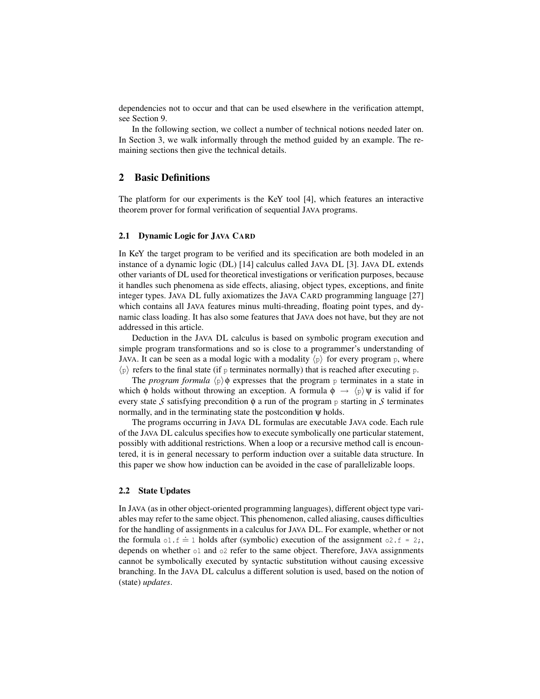dependencies not to occur and that can be used elsewhere in the verification attempt, see Section 9.

In the following section, we collect a number of technical notions needed later on. In Section 3, we walk informally through the method guided by an example. The remaining sections then give the technical details.

### 2 Basic Definitions

The platform for our experiments is the KeY tool [4], which features an interactive theorem prover for formal verification of sequential JAVA programs.

#### 2.1 Dynamic Logic for JAVA CARD

In KeY the target program to be verified and its specification are both modeled in an instance of a dynamic logic (DL) [14] calculus called JAVA DL [3]. JAVA DL extends other variants of DL used for theoretical investigations or verification purposes, because it handles such phenomena as side effects, aliasing, object types, exceptions, and finite integer types. JAVA DL fully axiomatizes the JAVA CARD programming language [27] which contains all JAVA features minus multi-threading, floating point types, and dynamic class loading. It has also some features that JAVA does not have, but they are not addressed in this article.

Deduction in the JAVA DL calculus is based on symbolic program execution and simple program transformations and so is close to a programmer's understanding of JAVA. It can be seen as a modal logic with a modality  $\langle p \rangle$  for every program p, where  $\langle p \rangle$  refers to the final state (if p terminates normally) that is reached after executing p.

The *program formula*  $\langle p \rangle \phi$  expresses that the program p terminates in a state in which  $\phi$  holds without throwing an exception. A formula  $\phi \rightarrow \langle p \rangle \psi$  is valid if for every state *S* satisfying precondition  $\phi$  a run of the program  $\phi$  starting in *S* terminates normally, and in the terminating state the postcondition  $\psi$  holds.

The programs occurring in JAVA DL formulas are executable JAVA code. Each rule of the JAVA DL calculus specifies how to execute symbolically one particular statement, possibly with additional restrictions. When a loop or a recursive method call is encountered, it is in general necessary to perform induction over a suitable data structure. In this paper we show how induction can be avoided in the case of parallelizable loops.

#### 2.2 State Updates

In JAVA (as in other object-oriented programming languages), different object type variables may refer to the same object. This phenomenon, called aliasing, causes difficulties for the handling of assignments in a calculus for JAVA DL. For example, whether or not the formula  $0.1 \text{ f} = 1$  holds after (symbolic) execution of the assignment  $0.2 \text{ f} = 2$ ; depends on whether  $\circ$ 1 and  $\circ$ 2 refer to the same object. Therefore, JAVA assignments cannot be symbolically executed by syntactic substitution without causing excessive branching. In the JAVA DL calculus a different solution is used, based on the notion of (state) *updates*.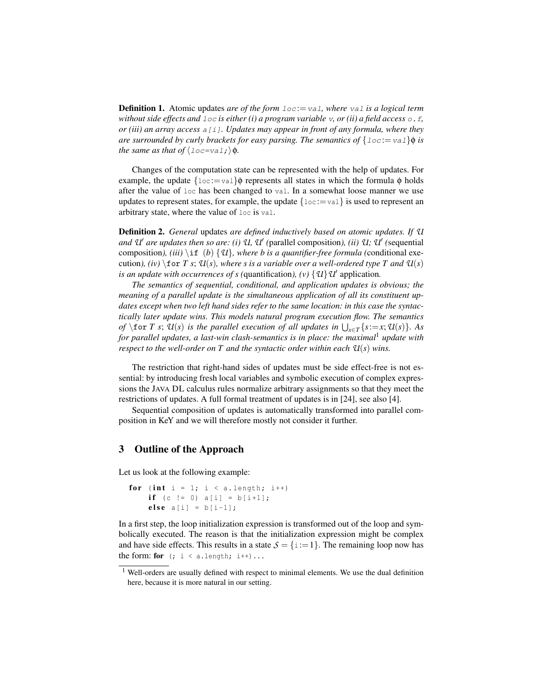**Definition 1.** Atomic updates *are of the form*  $loc := val$ *, where* val *is a logical term without side effects and*  $\log$  *is either (i) a program variable v, or (ii) a field access*  $\circ$  *. f, or (iii) an array access* a[i]*. Updates may appear in front of any formula, where they are surrounded by curly brackets for easy parsing. The semantics of*  $\{loc := val\}$ φ *is the same as that of*  $\langle$   $\angle$ *loc=val*; $\rangle$  $\phi$ *.* 

Changes of the computation state can be represented with the help of updates. For example, the update  $\{\log z = val\}$ φ represents all states in which the formula φ holds after the value of loc has been changed to val. In a somewhat loose manner we use updates to represent states, for example, the update  $\{\log := \text{val}\}\$ is used to represent an arbitrary state, where the value of loc is val.

Definition 2. *General* updates *are defined inductively based on atomic updates. If U and*  $\mathcal{U}'$  *are updates then so are: (i)*  $\mathcal{U}, \mathcal{U}'$  (parallel composition), (*ii)*  $\mathcal{U}$ *;*  $\mathcal{U}'$  (sequential composition), (iii)  $\iint (b) \{U\}$ , where b is a quantifier-free formula (conditional execution), (iv)  $\text{for } T \text{ s}; \mathcal{U}(s)$ *, where s is a variable over a well-ordered type T and*  $\mathcal{U}(s)$ *is an update with occurrences of s (quantification), (v)*  $\{u\}$   $\mathcal{U}'$  application.

*The semantics of sequential, conditional, and application updates is obvious; the meaning of a parallel update is the simultaneous application of all its constituent updates except when two left hand sides refer to the same location: in this case the syntactically later update wins. This models natural program execution flow. The semantics of*  $\setminus$  *Tor T s*;  $U(s)$  *is the parallel execution of all updates in*  $\bigcup_{x \in T} \{s := x; U(s)\}\)$ . As *for parallel updates, a last-win clash-semantics is in place: the maximal*<sup>1</sup> *update with respect to the well-order on T and the syntactic order within each U*(*s*) *wins.*

The restriction that right-hand sides of updates must be side effect-free is not essential: by introducing fresh local variables and symbolic execution of complex expressions the JAVA DL calculus rules normalize arbitrary assignments so that they meet the restrictions of updates. A full formal treatment of updates is in [24], see also [4].

Sequential composition of updates is automatically transformed into parallel composition in KeY and we will therefore mostly not consider it further.

## 3 Outline of the Approach

Let us look at the following example:

```
for (int i = 1; i < a. length; i++)if (c := 0) a[i] = b[i+1];
    else a[i] = b[i-1];
```
In a first step, the loop initialization expression is transformed out of the loop and symbolically executed. The reason is that the initialization expression might be complex and have side effects. This results in a state  $S = \{i := 1\}$ . The remaining loop now has the form: for  $(i \neq 1 \leq a \ldots \leq b$ ; i++ $(i \neq j \ldots$ 

<sup>&</sup>lt;sup>1</sup> Well-orders are usually defined with respect to minimal elements. We use the dual definition here, because it is more natural in our setting.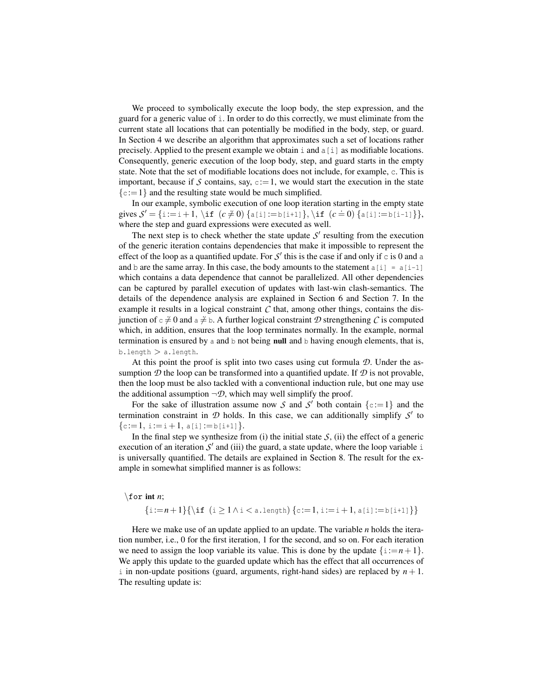We proceed to symbolically execute the loop body, the step expression, and the guard for a generic value of i. In order to do this correctly, we must eliminate from the current state all locations that can potentially be modified in the body, step, or guard. In Section 4 we describe an algorithm that approximates such a set of locations rather precisely. Applied to the present example we obtain i and a[i] as modifiable locations. Consequently, generic execution of the loop body, step, and guard starts in the empty state. Note that the set of modifiable locations does not include, for example, c. This is important, because if *S* contains, say,  $c := 1$ , we would start the execution in the state  ${c:=1}$  and the resulting state would be much simplified.

In our example, symbolic execution of one loop iteration starting in the empty state gives  $S' = \{i := i+1, \setminus \text{if } (c \neq 0) \{a[i]:=b[i+1]\}, \setminus \text{if } (c = 0) \{a[i]:=b[i-1]\} \}$ where the step and guard expressions were executed as well.

The next step is to check whether the state update  $S'$  resulting from the execution of the generic iteration contains dependencies that make it impossible to represent the effect of the loop as a quantified update. For  $S'$  this is the case if and only if c is 0 and a and b are the same array. In this case, the body amounts to the statement  $a[i] = a[i-1]$ which contains a data dependence that cannot be parallelized. All other dependencies can be captured by parallel execution of updates with last-win clash-semantics. The details of the dependence analysis are explained in Section 6 and Section 7. In the example it results in a logical constraint  $C$  that, among other things, contains the disignorion of  $c \neq 0$  and  $a \neq b$ . A further logical constraint *D* strengthening *C* is computed which, in addition, ensures that the loop terminates normally. In the example, normal termination is ensured by a and b not being null and b having enough elements, that is,  $b.length > a.length$ .

At this point the proof is split into two cases using cut formula *D*. Under the assumption  $D$  the loop can be transformed into a quantified update. If  $D$  is not provable, then the loop must be also tackled with a conventional induction rule, but one may use the additional assumption  $\neg \mathcal{D}$ , which may well simplify the proof.

For the sake of illustration assume now *S* and *S'* both contain  $\{c:=1\}$  and the termination constraint in  $D$  holds. In this case, we can additionally simplify  $S'$  to  ${c:=1, i:=i+1, a[i]:=b[i+1]}$ .

In the final step we synthesize from (i) the initial state  $S$ , (ii) the effect of a generic execution of an iteration  $S'$  and (iii) the guard, a state update, where the loop variable i is universally quantified. The details are explained in Section 8. The result for the example in somewhat simplified manner is as follows:

\for int *n*;

 ${i:=n+1}{\if (i \geq 1 \land i < a.length) \{c:=1, i:=i+1, a[i]:=b[i+1]\}\}$ 

Here we make use of an update applied to an update. The variable *n* holds the iteration number, i.e., 0 for the first iteration, 1 for the second, and so on. For each iteration we need to assign the loop variable its value. This is done by the update  $\{i:=n+1\}$ . We apply this update to the guarded update which has the effect that all occurrences of i in non-update positions (guard, arguments, right-hand sides) are replaced by  $n + 1$ . The resulting update is: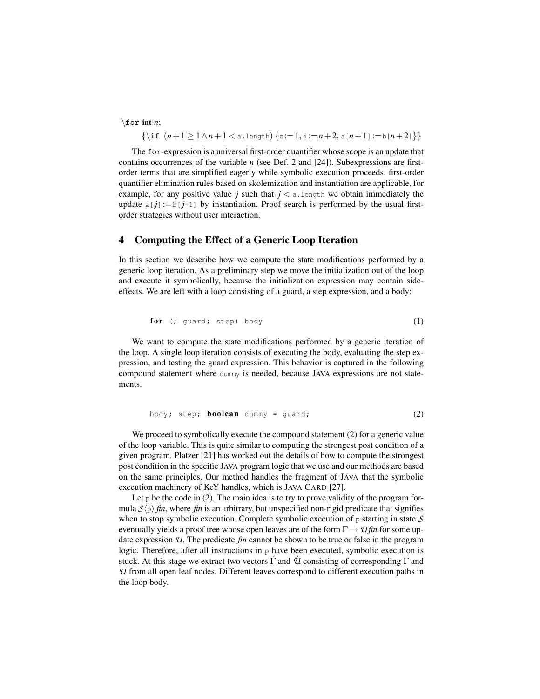\for int *n*;

$$
\{\text{if } (n+1 \ge 1 \land n+1 < \text{a.length}) \; \{c := 1, \, i := n+2, \, \text{a}[n+1] := \text{b}[n+2] \} \}
$$

The for-expression is a universal first-order quantifier whose scope is an update that contains occurrences of the variable *n* (see Def. 2 and [24]). Subexpressions are firstorder terms that are simplified eagerly while symbolic execution proceeds. first-order quantifier elimination rules based on skolemization and instantiation are applicable, for example, for any positive value *j* such that  $j < a$ . Length we obtain immediately the update  $a[j] := b[j+1]$  by instantiation. Proof search is performed by the usual firstorder strategies without user interaction.

### 4 Computing the Effect of a Generic Loop Iteration

In this section we describe how we compute the state modifications performed by a generic loop iteration. As a preliminary step we move the initialization out of the loop and execute it symbolically, because the initialization expression may contain sideeffects. We are left with a loop consisting of a guard, a step expression, and a body:

$$
for (j guard; step) body \t(1)
$$

We want to compute the state modifications performed by a generic iteration of the loop. A single loop iteration consists of executing the body, evaluating the step expression, and testing the guard expression. This behavior is captured in the following compound statement where dummy is needed, because JAVA expressions are not statements.

$$
body; step; boolean dummy = guard;
$$
 (2)

We proceed to symbolically execute the compound statement (2) for a generic value of the loop variable. This is quite similar to computing the strongest post condition of a given program. Platzer [21] has worked out the details of how to compute the strongest post condition in the specific JAVA program logic that we use and our methods are based on the same principles. Our method handles the fragment of JAVA that the symbolic execution machinery of KeY handles, which is JAVA CARD [27].

Let  $p$  be the code in (2). The main idea is to try to prove validity of the program formula  $S\langle p \rangle$  *fin*, where *fin* is an arbitrary, but unspecified non-rigid predicate that signifies when to stop symbolic execution. Complete symbolic execution of  $p$  starting in state *S* eventually yields a proof tree whose open leaves are of the form Γ → *U fin* for some update expression *U*. The predicate *fin* cannot be shown to be true or false in the program logic. Therefore, after all instructions in  $\beta$  have been executed, symbolic execution is stuck. At this stage we extract two vectors  $\vec{\Gamma}$  and  $\vec{\mathcal{U}}$  consisting of corresponding  $\Gamma$  and *U* from all open leaf nodes. Different leaves correspond to different execution paths in the loop body.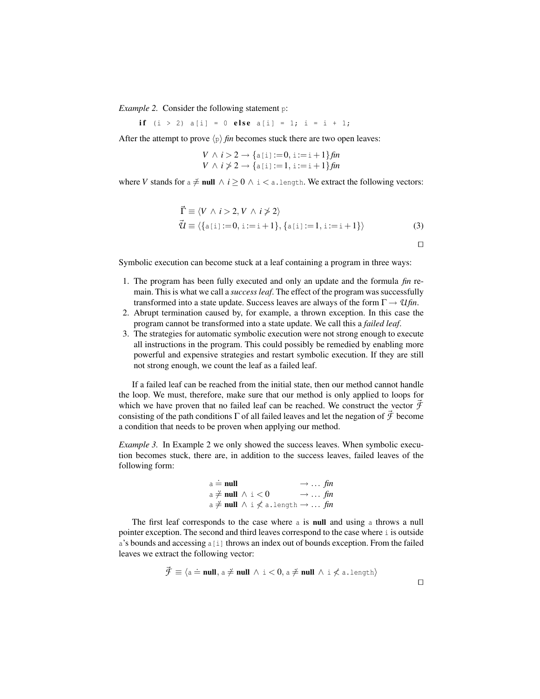*Example 2.* Consider the following statement p:

if  $(i > 2)$  a[i] = 0 else a[i] = 1; i = i + 1;

After the attempt to prove  $\langle p \rangle$  *fin* becomes stuck there are two open leaves:

$$
V \wedge i > 2 \rightarrow \{a[i]:=0, i:=i+1\} \text{fin}
$$
  

$$
V \wedge i \not\geq 2 \rightarrow \{a[i]:=1, i:=i+1\} \text{fin}
$$

where *V* stands for a  $\neq$  null  $\land$  *i*  $\geq$  0  $\land$  i  $\lt$  a. length. We extract the following vectors:

$$
\vec{\Gamma} \equiv \langle V \wedge i > 2, V \wedge i \not> 2 \rangle \n\vec{\mathcal{U}} \equiv \langle \{a[i] := 0, i := i + 1\}, \{a[i] := 1, i := i + 1\} \rangle
$$
\n(3)

 $\Box$ 

 $\Box$ 

Symbolic execution can become stuck at a leaf containing a program in three ways:

- 1. The program has been fully executed and only an update and the formula *fin* remain. This is what we call a *success leaf*. The effect of the program was successfully transformed into a state update. Success leaves are always of the form  $\Gamma \rightarrow \mathcal{U}$  *fin.*
- 2. Abrupt termination caused by, for example, a thrown exception. In this case the program cannot be transformed into a state update. We call this a *failed leaf*.
- 3. The strategies for automatic symbolic execution were not strong enough to execute all instructions in the program. This could possibly be remedied by enabling more powerful and expensive strategies and restart symbolic execution. If they are still not strong enough, we count the leaf as a failed leaf.

If a failed leaf can be reached from the initial state, then our method cannot handle the loop. We must, therefore, make sure that our method is only applied to loops for which we have proven that no failed leaf can be reached. We construct the vector  $\hat{\mathcal{F}}$ consisting of the path conditions  $\Gamma$  of all failed leaves and let the negation of  $\vec{\mathcal{F}}$  become a condition that needs to be proven when applying our method.

*Example 3.* In Example 2 we only showed the success leaves. When symbolic execution becomes stuck, there are, in addition to the success leaves, failed leaves of the following form:

$$
\begin{array}{lcl}\n\mathsf{a} \doteq \mathbf{null} & \rightarrow \dots \text{ fin} \\
\mathsf{a} \not\equiv \mathbf{null} \land \mathsf{i} < 0 & \rightarrow \dots \text{ fin} \\
\mathsf{a} \not\equiv \mathbf{null} \land \mathsf{i} \not\leq \mathsf{a}.\text{length} \rightarrow \dots \text{ fin}\n\end{array}
$$

The first leaf corresponds to the case where a is null and using a throws a null pointer exception. The second and third leaves correspond to the case where i is outside a's bounds and accessing a[i] throws an index out of bounds exception. From the failed leaves we extract the following vector:

$$
\vec{\mathcal{F}} \equiv \langle \texttt{a} \doteq \textbf{null}, \texttt{a} \not \equiv \textbf{null} \ \wedge \ \texttt{i} < 0, \texttt{a} \not \equiv \textbf{null} \ \wedge \ \texttt{i} \not < \texttt{a.length} \rangle
$$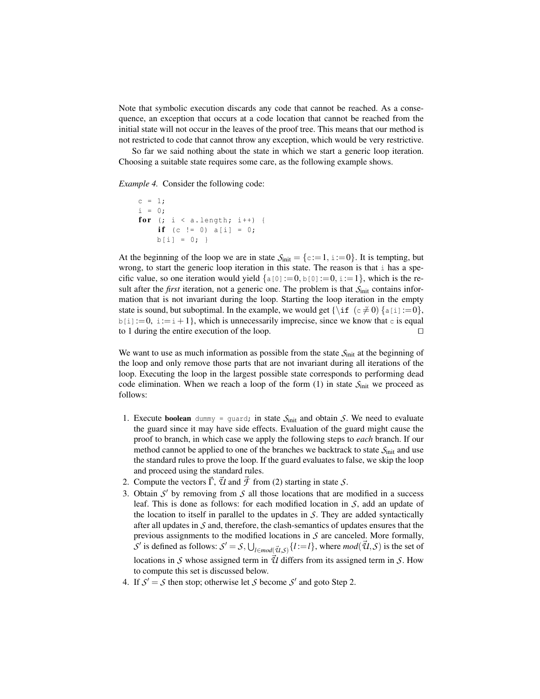Note that symbolic execution discards any code that cannot be reached. As a consequence, an exception that occurs at a code location that cannot be reached from the initial state will not occur in the leaves of the proof tree. This means that our method is not restricted to code that cannot throw any exception, which would be very restrictive.

So far we said nothing about the state in which we start a generic loop iteration. Choosing a suitable state requires some care, as the following example shows.

*Example 4.* Consider the following code:

```
c = 1;i = 0;for (i \text{ i} < a.length; i++) {
    if (c := 0) a[i] = 0;
    b[i] = 0;
```
At the beginning of the loop we are in state  $S_{init} = \{c := 1, i := 0\}$ . It is tempting, but wrong, to start the generic loop iteration in this state. The reason is that i has a specific value, so one iteration would yield  $\{a[0]:=0, b[0]:=0, i:=1\}$ , which is the result after the *first* iteration, not a generic one. The problem is that  $S<sub>init</sub>$  contains information that is not invariant during the loop. Starting the loop iteration in the empty state is sound, but suboptimal. In the example, we would get  $\{\i{ if } (c \neq 0) \{a[i]:=0\},\}$  $b[i]:=0, i:=i+1$ , which is unnecessarily imprecise, since we know that c is equal to 1 during the entire execution of the loop.  $\Box$ 

We want to use as much information as possible from the state  $S<sub>init</sub>$  at the beginning of the loop and only remove those parts that are not invariant during all iterations of the loop. Executing the loop in the largest possible state corresponds to performing dead code elimination. When we reach a loop of the form  $(1)$  in state  $S<sub>init</sub>$  we proceed as follows:

- 1. Execute boolean dummy = guard; in state  $S<sub>init</sub>$  and obtain *S*. We need to evaluate the guard since it may have side effects. Evaluation of the guard might cause the proof to branch, in which case we apply the following steps to *each* branch. If our method cannot be applied to one of the branches we backtrack to state *S*init and use the standard rules to prove the loop. If the guard evaluates to false, we skip the loop and proceed using the standard rules.
- 2. Compute the vectors  $\vec{\Gamma}$ ,  $\vec{\mathcal{U}}$  and  $\vec{\mathcal{F}}$  from (2) starting in state *S*.
- 3. Obtain  $S'$  by removing from  $S$  all those locations that are modified in a success leaf. This is done as follows: for each modified location in *S*, add an update of the location to itself in parallel to the updates in  $\mathcal{S}$ . They are added syntactically after all updates in *S* and, therefore, the clash-semantics of updates ensures that the previous assignments to the modified locations in *S* are canceled. More formally, S' is defined as follows:  $S' = S$ ,  $\bigcup_{l \in mod(\vec{u}, S)} \{l := l\}$ , where  $mod(\vec{u}, S)$  is the set of locations in  $\mathcal S$  whose assigned term in  $\vec u$  differs from its assigned term in  $\mathcal S$ . How to compute this set is discussed below.
- 4. If  $S' = S$  then stop; otherwise let *S* become  $S'$  and goto Step 2.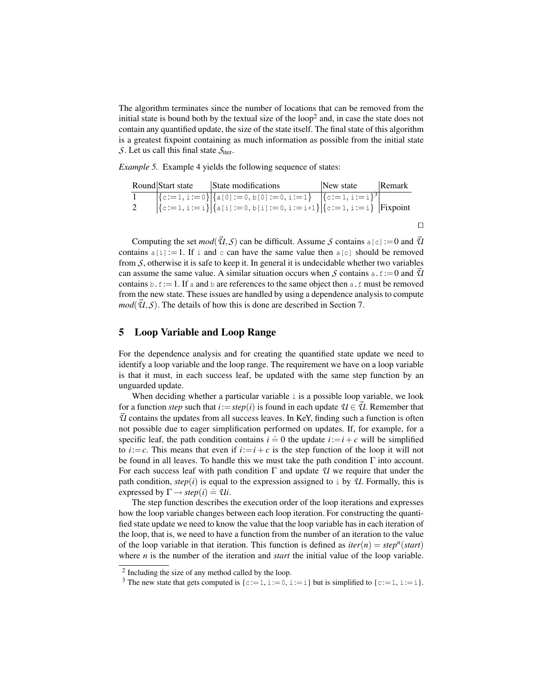The algorithm terminates since the number of locations that can be removed from the initial state is bound both by the textual size of the loop<sup>2</sup> and, in case the state does not contain any quantified update, the size of the state itself. The final state of this algorithm is a greatest fixpoint containing as much information as possible from the initial state *S*. Let us call this final state  $S_{\text{iter}}$ .

*Example 5.* Example 4 yields the following sequence of states:

| Round Start state | State modifications                                                                                     | New state | <b>Remark</b> |
|-------------------|---------------------------------------------------------------------------------------------------------|-----------|---------------|
|                   | $\left  \{c:=1, i:=0\} \right  \left\{ a[0]:=0, b[0]:=0, i:=1 \} \right  \left\{ c:=1, i:=i \right\}^3$ |           |               |
|                   | $ \{c:=1, i:=i\} $ $\{a[i]:=0, b[i]:=0, i:=i+1\} $ $\{c:=1, i:=i\} $ Fixpoint                           |           |               |
|                   |                                                                                                         |           |               |

 $\Box$ 

Computing the set  $mod(\vec{U}, S)$  can be difficult. Assume *S* contains  $a[c] := 0$  and  $\vec{U}$ contains  $a[i]:=1$ . If i and c can have the same value then  $a[c]$  should be removed from *S*, otherwise it is safe to keep it. In general it is undecidable whether two variables can assume the same value. A similar situation occurs when *S* contains a.f:  $=0$  and  $\overline{\mathcal{U}}$ contains  $b.f := 1$ . If a and b are references to the same object then a, f must be removed from the new state. These issues are handled by using a dependence analysis to compute  $mod(\bar{U}, S)$ . The details of how this is done are described in Section 7.

## 5 Loop Variable and Loop Range

For the dependence analysis and for creating the quantified state update we need to identify a loop variable and the loop range. The requirement we have on a loop variable is that it must, in each success leaf, be updated with the same step function by an unguarded update.

When deciding whether a particular variable  $\pm$  is a possible loop variable, we look for a function *step* such that  $i:=step(i)$  is found in each update  $\mathcal{U} \in \mathcal{U}$ . Remember that  $\vec{U}$  contains the updates from all success leaves. In KeY, finding such a function is often not possible due to eager simplification performed on updates. If, for example, for a specific leaf, the path condition contains  $i = 0$  the update  $i := i + c$  will be simplified to  $i:=c$ . This means that even if  $i:=i+c$  is the step function of the loop it will not be found in all leaves. To handle this we must take the path condition  $\Gamma$  into account. For each success leaf with path condition Γ and update *U* we require that under the path condition,  $step(i)$  is equal to the expression assigned to i by *U*. Formally, this is  $\text{expressed by } \Gamma \rightarrow \text{step}(i) \doteq \mathcal{U}i.$ 

The step function describes the execution order of the loop iterations and expresses how the loop variable changes between each loop iteration. For constructing the quantified state update we need to know the value that the loop variable has in each iteration of the loop, that is, we need to have a function from the number of an iteration to the value of the loop variable in that iteration. This function is defined as  $iter(n) = step^n(start)$ where *n* is the number of the iteration and *start* the initial value of the loop variable.

<sup>&</sup>lt;sup>2</sup> Including the size of any method called by the loop.

<sup>&</sup>lt;sup>3</sup> The new state that gets computed is {c:=1, i:=0, i:=i} but is simplified to {c:=1, i:=i}.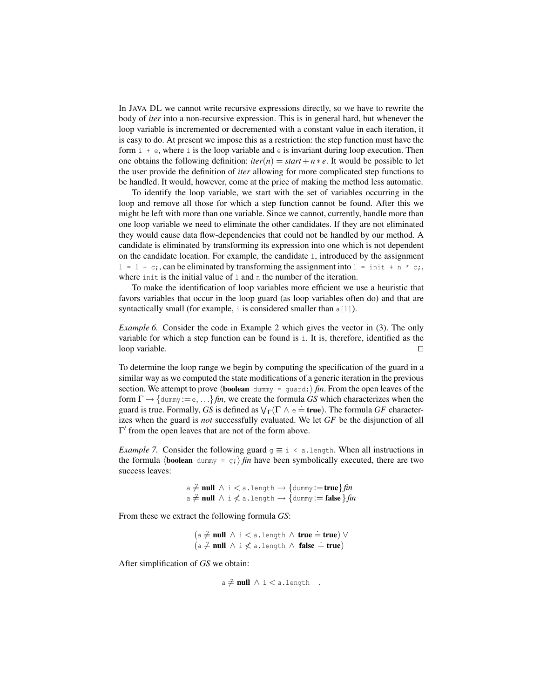In JAVA DL we cannot write recursive expressions directly, so we have to rewrite the body of *iter* into a non-recursive expression. This is in general hard, but whenever the loop variable is incremented or decremented with a constant value in each iteration, it is easy to do. At present we impose this as a restriction: the step function must have the form  $i + e$ , where i is the loop variable and e is invariant during loop execution. Then one obtains the following definition:  $iter(n) = start + n * e$ . It would be possible to let the user provide the definition of *iter* allowing for more complicated step functions to be handled. It would, however, come at the price of making the method less automatic.

To identify the loop variable, we start with the set of variables occurring in the loop and remove all those for which a step function cannot be found. After this we might be left with more than one variable. Since we cannot, currently, handle more than one loop variable we need to eliminate the other candidates. If they are not eliminated they would cause data flow-dependencies that could not be handled by our method. A candidate is eliminated by transforming its expression into one which is not dependent on the candidate location. For example, the candidate l, introduced by the assignment  $l = l + c_i$ , can be eliminated by transforming the assignment into  $l = init + n * c_i$ , where init is the initial value of 1 and n the number of the iteration.

To make the identification of loop variables more efficient we use a heuristic that favors variables that occur in the loop guard (as loop variables often do) and that are syntactically small (for example,  $\pm$  is considered smaller than  $a[1]$ ).

*Example 6.* Consider the code in Example 2 which gives the vector in (3). The only variable for which a step function can be found is i. It is, therefore, identified as the loop variable.  $\Box$ 

To determine the loop range we begin by computing the specification of the guard in a similar way as we computed the state modifications of a generic iteration in the previous section. We attempt to prove (**boolean** dummy = quard; *fin*. From the open leaves of the form  $\Gamma \rightarrow \{\text{dummy}:=e, \ldots\}$  *fin*, we create the formula *GS* which characterizes when the guard is true. Formally, *GS* is defined as  $\sqrt{\Gamma}(\Gamma \wedge e = \text{true})$ . The formula *GF* characterizes when the guard is *not* successfully evaluated. We let *GF* be the disjunction of all Γ' from the open leaves that are not of the form above.

*Example 7.* Consider the following guard  $g \equiv i \lt a$ . Length. When all instructions in the formula (**boolean** dummy =  $g_i$ ) fin have been symbolically executed, there are two success leaves:

> a **≠ null** ∧ i < a.length →  $\{\text{dummy}:= \text{true}\}$  fin  $a \neq$  **null**  $\land$  i  $\leq$  a.length  $\rightarrow$  {dummy:= **false** } *fin*

From these we extract the following formula *GS*:

 $(a \neq null \land i < a.length \land true \doteq true)$   $\lor$  $(a \neq \min \land \bot \leq a$ . Length  $\land$  **false = true**)<br>(a  $\neq$  **null**  $\land$  **i**  $\not\leq a$ . length  $\land$  **false = true**)

After simplification of *GS* we obtain:

$$
a \neq \text{null} \land i < a.length .
$$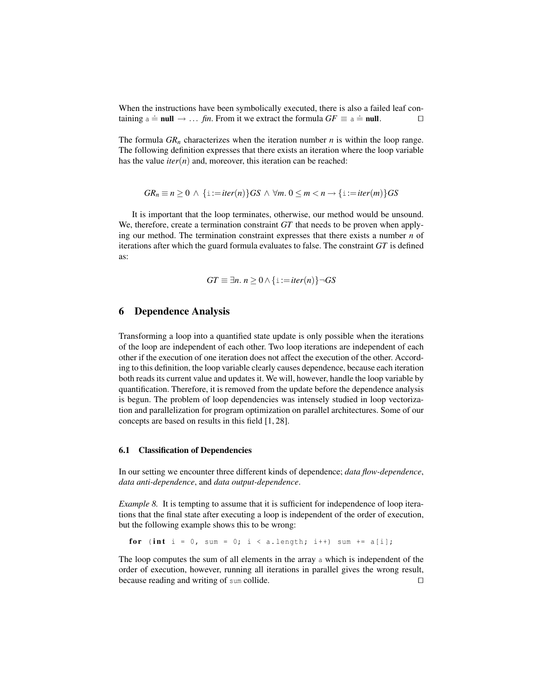When the instructions have been symbolically executed, there is also a failed leaf conwhen the instructions have been symbolically baceatied, there is diso a national containing  $a = \text{null} \rightarrow \dots$  *fin*. From it we extract the formula  $GF \equiv a = \text{null}$ .

The formula  $GR_n$  characterizes when the iteration number  $n$  is within the loop range. The following definition expresses that there exists an iteration where the loop variable has the value  $iter(n)$  and, moreover, this iteration can be reached:

$$
GR_n \equiv n \ge 0 \ \land \ \{ \texttt{i} := iter(n) \} GS \ \land \ \forall m. \ 0 \le m < n \rightarrow \{ \texttt{i} := iter(m) \} GS
$$

It is important that the loop terminates, otherwise, our method would be unsound. We, therefore, create a termination constraint *GT* that needs to be proven when applying our method. The termination constraint expresses that there exists a number *n* of iterations after which the guard formula evaluates to false. The constraint *GT* is defined as:

$$
GT \equiv \exists n. n \ge 0 \land \{i := iter(n)\} \neg GS
$$

## 6 Dependence Analysis

Transforming a loop into a quantified state update is only possible when the iterations of the loop are independent of each other. Two loop iterations are independent of each other if the execution of one iteration does not affect the execution of the other. According to this definition, the loop variable clearly causes dependence, because each iteration both reads its current value and updates it. We will, however, handle the loop variable by quantification. Therefore, it is removed from the update before the dependence analysis is begun. The problem of loop dependencies was intensely studied in loop vectorization and parallelization for program optimization on parallel architectures. Some of our concepts are based on results in this field [1, 28].

#### 6.1 Classification of Dependencies

In our setting we encounter three different kinds of dependence; *data flow-dependence*, *data anti-dependence*, and *data output-dependence*.

*Example 8.* It is tempting to assume that it is sufficient for independence of loop iterations that the final state after executing a loop is independent of the order of execution, but the following example shows this to be wrong:

for (int i = 0, sum = 0; i < a.length; i++) sum += a[i];

The loop computes the sum of all elements in the array a which is independent of the order of execution, however, running all iterations in parallel gives the wrong result, because reading and writing of sum collide.  $\Box$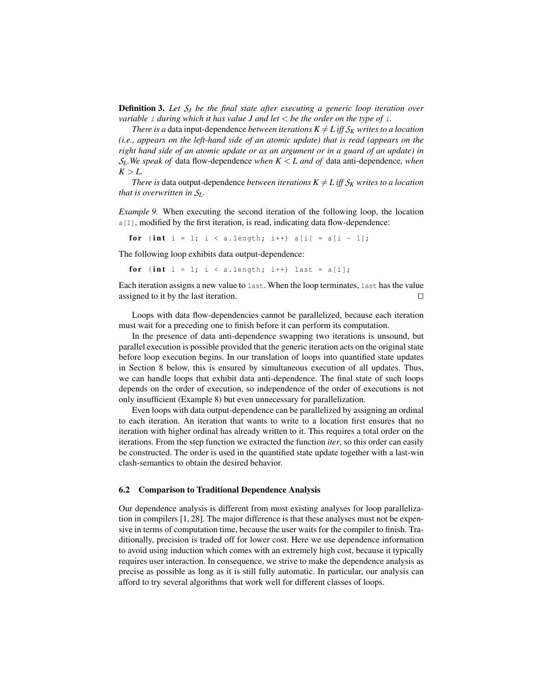Definition 3. *Let S<sup>J</sup> be the final state after executing a generic loop iteration over variable* i *during which it has value J and let* < *be the order on the type of* i*.*

*There is a* data input-dependence *between iterations K*  $\neq L$  *iff*  $S_K$  *writes to a location (i.e., appears on the left-hand side of an atomic update) that is read (appears on the right hand side of an atomic update or as an argument or in a guard of an update) in*  $S_L$ *.We speak of* data flow-dependence *when*  $K < L$  *and of* data anti-dependence, *when*  $K > L$ .

*There is* data output-dependence *between iterations*  $K \neq L$  *iff*  $S_K$  *writes to a location that is overwritten in SL.*

*Example 9.* When executing the second iteration of the following loop, the location a[1], modified by the first iteration, is read, indicating data flow-dependence:

for (int i = 1; i < a.length; i++) a[i] = a[i - 1];

The following loop exhibits data output-dependence:

for (int i = 1; i < a.length; i++) last =  $a[i]$ ;

Each iteration assigns a new value to last. When the loop terminates, last has the value assigned to it by the last iteration.  $\Box$ 

Loops with data flow-dependencies cannot be parallelized, because each iteration must wait for a preceding one to finish before it can perform its computation.

In the presence of data anti-dependence swapping two iterations is unsound, but parallel execution is possible provided that the generic iteration acts on the original state before loop execution begins. In our translation of loops into quantified state updates in Section 8 below, this is ensured by simultaneous execution of all updates. Thus, we can handle loops that exhibit data anti-dependence. The final state of such loops depends on the order of execution, so independence of the order of executions is not only insufficient (Example 8) but even unnecessary for parallelization.

Even loops with data output-dependence can be parallelized by assigning an ordinal to each iteration. An iteration that wants to write to a location first ensures that no iteration with higher ordinal has already written to it. This requires a total order on the iterations. From the step function we extracted the function *iter*, so this order can easily be constructed. The order is used in the quantified state update together with a last-win clash-semantics to obtain the desired behavior.

#### 6.2 Comparison to Traditional Dependence Analysis

Our dependence analysis is different from most existing analyses for loop parallelization in compilers [1, 28]. The major difference is that these analyses must not be expensive in terms of computation time, because the user waits for the compiler to finish. Traditionally, precision is traded off for lower cost. Here we use dependence information to avoid using induction which comes with an extremely high cost, because it typically requires user interaction. In consequence, we strive to make the dependence analysis as precise as possible as long as it is still fully automatic. In particular, our analysis can afford to try several algorithms that work well for different classes of loops.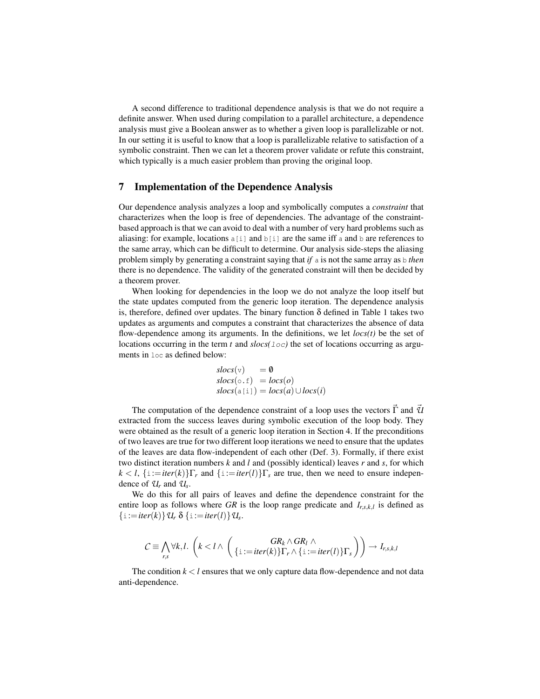A second difference to traditional dependence analysis is that we do not require a definite answer. When used during compilation to a parallel architecture, a dependence analysis must give a Boolean answer as to whether a given loop is parallelizable or not. In our setting it is useful to know that a loop is parallelizable relative to satisfaction of a symbolic constraint. Then we can let a theorem prover validate or refute this constraint, which typically is a much easier problem than proving the original loop.

### 7 Implementation of the Dependence Analysis

Our dependence analysis analyzes a loop and symbolically computes a *constraint* that characterizes when the loop is free of dependencies. The advantage of the constraintbased approach is that we can avoid to deal with a number of very hard problems such as aliasing: for example, locations  $a[i]$  and  $b[i]$  are the same iff a and b are references to the same array, which can be difficult to determine. Our analysis side-steps the aliasing problem simply by generating a constraint saying that *if* a is not the same array as b *then* there is no dependence. The validity of the generated constraint will then be decided by a theorem prover.

When looking for dependencies in the loop we do not analyze the loop itself but the state updates computed from the generic loop iteration. The dependence analysis is, therefore, defined over updates. The binary function  $\delta$  defined in Table 1 takes two updates as arguments and computes a constraint that characterizes the absence of data flow-dependence among its arguments. In the definitions, we let *locs(t)* be the set of locations occurring in the term  $t$  and  $slocs(1 \circ c)$  the set of locations occurring as arguments in loc as defined below:

$$
slocs(v) = 0
$$
  
\n
$$
slocs(\circ.f) = locs(o)
$$
  
\n
$$
slocs(\circ[i]) = locs(a) \cup locs(i)
$$

The computation of the dependence constraint of a loop uses the vectors  $\Gamma$  and  $\mathcal{U}$ extracted from the success leaves during symbolic execution of the loop body. They were obtained as the result of a generic loop iteration in Section 4. If the preconditions of two leaves are true for two different loop iterations we need to ensure that the updates of the leaves are data flow-independent of each other (Def. 3). Formally, if there exist two distinct iteration numbers *k* and *l* and (possibly identical) leaves *r* and *s*, for which  $k < l$ ,  $\{i := iter(k)\}\Gamma_r$  and  $\{i := iter(l)\}\Gamma_s$  are true, then we need to ensure independence of *U<sup>r</sup>* and *U<sup>s</sup>* .

We do this for all pairs of leaves and define the dependence constraint for the entire loop as follows where *GR* is the loop range predicate and *Ir*,*s*,*k*,*<sup>l</sup>* is defined as  $\{i:=iter(k)\}$   $\mathcal{U}_r$   $\delta$   $\{i:=iter(l)\}$   $\mathcal{U}_s$ .

$$
C \equiv \bigwedge_{r,s} \forall k,l. \left( k < l \wedge \left( \begin{array}{c} GR_k \wedge GR_l \wedge \\ \{\mathbf{i} := iter(k)\} \Gamma_r \wedge \{\mathbf{i} := iter(l)\} \Gamma_s \end{array} \right) \right) \rightarrow I_{r,s,k,l}
$$

The condition  $k < l$  ensures that we only capture data flow-dependence and not data anti-dependence.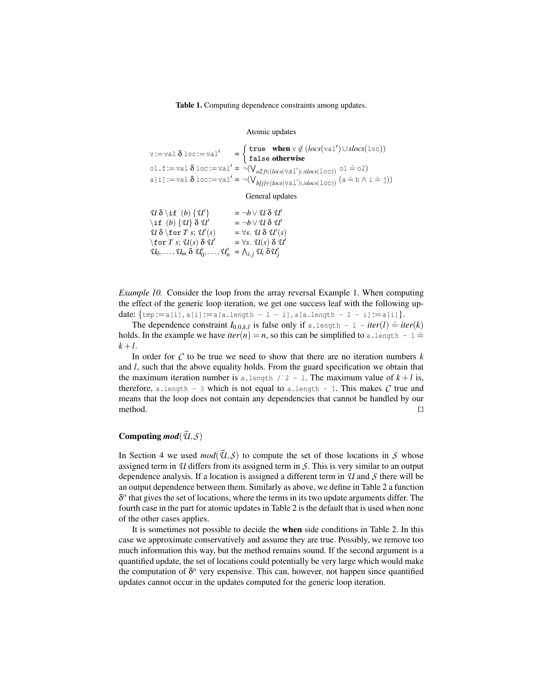Table 1. Computing dependence constraints among updates.

Atomic updates

 $v := \text{val} \delta \text{loc} := \text{val}' = \begin{cases} \text{true} & \text{when } v \notin (loss(\text{val}') \cup slocs(\text{loc})) \\ \text{false} & \text{otherwise} \end{cases}$ false otherwise o1.f:=val  $\delta$  loc:=val' = ¬( $V_{o2, f \in (loc(yal') \cup slocs(100))}$  o1 = o2) a[i]:=val  $\delta$  loc:=val' = ¬( $V_{\text{b}}(\text{loc}(v \text{at}) \cup \text{succ}(1 \text{c}))$  (a = b  $\wedge$  i = j))

General updates

| $\mathcal{U} \delta \setminus \text{if } (b) \{ \mathcal{U}' \}$               | $= \neg b \vee u \delta u'$                            |
|--------------------------------------------------------------------------------|--------------------------------------------------------|
| \if $(b)$ { $U$ } $\delta U'$                                                  | $= \neg b \vee u \delta u'$                            |
| $\mathcal{U} \delta$ \for T s; $\mathcal{U}'(s)$                               | $=\forall s. \; \mathcal{U} \delta \; \mathcal{U}'(s)$ |
| \for T s; $\mathcal{U}(s)$ $\delta$ U'                                         | $=\forall s. \mathcal{U}(s) \delta \mathcal{U}'$       |
| $u_0, \ldots, u_m \delta u_0', \ldots, u_n' = \bigwedge_{i,j} u_i \delta u_j'$ |                                                        |

*Example 10.* Consider the loop from the array reversal Example 1. When computing the effect of the generic loop iteration, we get one success leaf with the following update:  $\{\text{tmp:=a[i], a[i]:=a[a.length - 1 - i], a[a.length - 1 - i]:=a[i]}\}.$ 

The dependence constraint  $I_{0,0,k,l}$  is false only if a.length  $-1 - iter(l) = iter(k)$ . holds. In the example we have *iter*(*n*) = *n*, so this can be simplified to a. length - 1 =  $k+l$ .

In order for *C* to be true we need to show that there are no iteration numbers *k* and *l*, such that the above equality holds. From the guard specification we obtain that the maximum iteration number is a. length  $/2 - 1$ . The maximum value of  $k + l$  is, therefore, a.length - 3 which is not equal to a.length - 1. This makes  $C$  true and means that the loop does not contain any dependencies that cannot be handled by our method.  $\Box$ 

### Computing  $mod(\overrightarrow{U}, S)$

In Section 4 we used  $mod(\vec{U}, S)$  to compute the set of those locations in *S* whose assigned term in *U* differs from its assigned term in *S*. This is very similar to an output dependence analysis. If a location is assigned a different term in *U* and *S* there will be an output dependence between them. Similarly as above, we define in Table 2 a function δ *o* that gives the set of locations, where the terms in its two update arguments differ. The fourth case in the part for atomic updates in Table 2 is the default that is used when none of the other cases applies.

It is sometimes not possible to decide the when side conditions in Table 2. In this case we approximate conservatively and assume they are true. Possibly, we remove too much information this way, but the method remains sound. If the second argument is a quantified update, the set of locations could potentially be very large which would make the computation of δ<sup>ο</sup> very expensive. This can, however, not happen since quantified updates cannot occur in the updates computed for the generic loop iteration.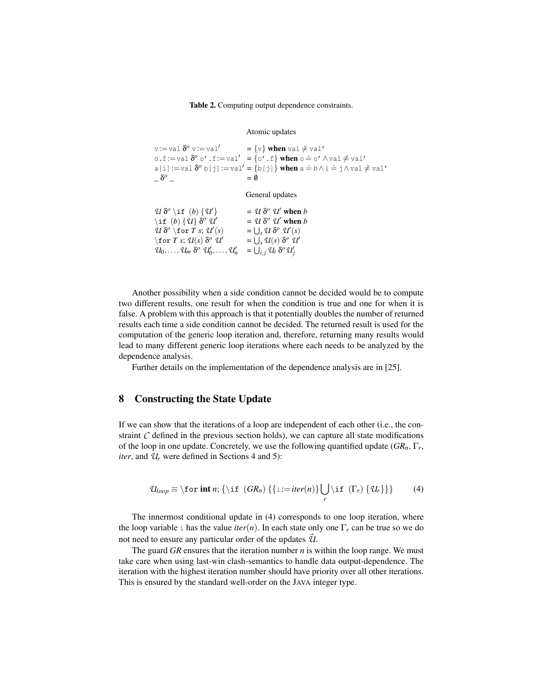#### Table 2. Computing output dependence constraints.

#### Atomic updates

```
v:=val \delta^o v:=val'
                 \sigma v:=val' = {v} when val \neq val'
\begin{bmatrix} 0.5 & -\cot 0 & \cos 0 \\ 0.5 & -\cot 0 & \cos 0 \end{bmatrix} = val<sup>'</sup> = {o', f} when \begin{bmatrix} 0 & -\cot 0 & \cot 0 \\ 0 & \cot 0 & \cot 0 \end{bmatrix} val \neq val'
a[i]:=val δ<sup>o</sup> b[j]:=val' = {b[j]} when a = b∧i = j∧val ≠ val'
\Delta^{\circ} \Delta= 0
```
General updates

| $\mathcal{U} \, \delta^o \setminus \text{if} \, (b) \, \{ \mathcal{U}' \}$         | $= U \delta^{\circ} U'$ when b                          |
|------------------------------------------------------------------------------------|---------------------------------------------------------|
| \if (b) $\{U\}$ $\delta^o$ $U'$                                                    | $= U \delta^{\circ} U'$ when b                          |
| $\mathcal{U} \, \delta^o \setminus \text{for } T \, s; \, \mathcal{U}'(s)$         | $= \bigcup_{s} U \delta^{\circ} U'(s)$                  |
| \for T s; $\mathcal{U}(s)$ $\delta^o \mathcal{U}'$                                 | $=\bigcup_{s}\mathcal{U}(s) \delta^{\circ}\mathcal{U}'$ |
| $\mathcal{U}_0,\ldots,\mathcal{U}_m \delta^o \mathcal{U}'_0,\ldots,\mathcal{U}'_n$ | $=\bigcup_{i,j}\mathcal{U}_i\ \delta^o\mathcal{U}'_i$   |

Another possibility when a side condition cannot be decided would be to compute two different results, one result for when the condition is true and one for when it is false. A problem with this approach is that it potentially doubles the number of returned results each time a side condition cannot be decided. The returned result is used for the computation of the generic loop iteration and, therefore, returning many results would lead to many different generic loop iterations where each needs to be analyzed by the dependence analysis.

Further details on the implementation of the dependence analysis are in [25].

# 8 Constructing the State Update

If we can show that the iterations of a loop are independent of each other (i.e., the constraint  $C$  defined in the previous section holds), we can capture all state modifications of the loop in one update. Concretely, we use the following quantified update (*GRn*, Γ*<sup>r</sup>* , *iter*, and  $U_r$  were defined in Sections 4 and 5):

$$
\mathcal{U}_{loop} \equiv \text{int } n; \{\text{if } (GR_n) \{i := iter(n)\} \bigcup_r \text{ } (Tr) \{ \mathcal{U}_r \} \} \tag{4}
$$

The innermost conditional update in (4) corresponds to one loop iteration, where the loop variable i has the value *iter*(*n*). In each state only one  $\Gamma_r$  can be true so we do not need to ensure any particular order of the updates  $\vec{u}$ .

The guard *GR* ensures that the iteration number *n* is within the loop range. We must take care when using last-win clash-semantics to handle data output-dependence. The iteration with the highest iteration number should have priority over all other iterations. This is ensured by the standard well-order on the JAVA integer type.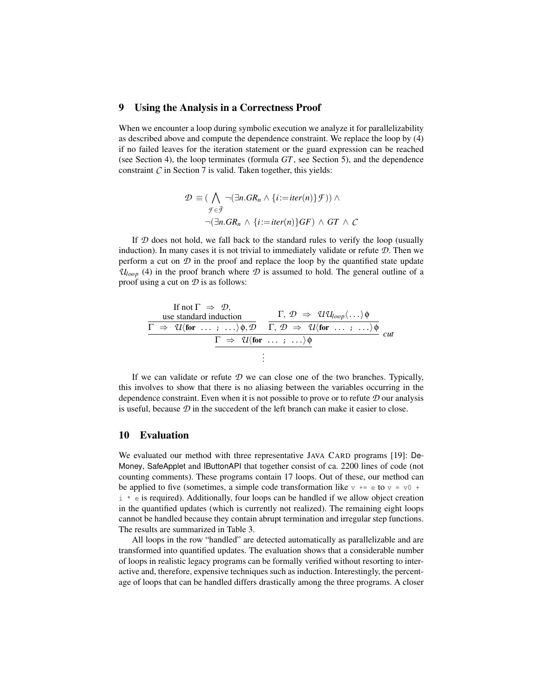# 9 Using the Analysis in a Correctness Proof

When we encounter a loop during symbolic execution we analyze it for parallelizability as described above and compute the dependence constraint. We replace the loop by (4) if no failed leaves for the iteration statement or the guard expression can be reached (see Section 4), the loop terminates (formula *GT*, see Section 5), and the dependence constraint *C* in Section 7 is valid. Taken together, this yields:

$$
\mathcal{D} \equiv (\bigwedge_{\mathcal{F} \in \vec{\mathcal{F}}} \neg (\exists n.GR_n \land \{i := iter(n)\} \mathcal{F})) \land \n\neg (\exists n.GR_n \land \{i := iter(n)\} GF) \land GT \land C
$$

If  $D$  does not hold, we fall back to the standard rules to verify the loop (usually induction). In many cases it is not trivial to immediately validate or refute *D*. Then we perform a cut on  $D$  in the proof and replace the loop by the quantified state update  $U_{loop}$  (4) in the proof branch where  $D$  is assumed to hold. The general outline of a proof using a cut on *D* is as follows:

If not 
$$
\Gamma \Rightarrow \mathcal{D}
$$
,  
use standard induction  

$$
\Gamma \Rightarrow \mathcal{U}\langle \text{for} \dots; \dots \rangle \phi, \mathcal{D} \quad \overline{\Gamma}, \mathcal{D} \Rightarrow \mathcal{U}\langle \text{for} \dots; \dots \rangle \phi
$$

$$
\frac{\Gamma \Rightarrow \mathcal{U}\langle \text{for} \dots; \dots \rangle \phi}{\Gamma \Rightarrow \mathcal{U}\langle \text{for} \dots; \dots \rangle \phi}
$$

$$
\vdots
$$

If we can validate or refute  $D$  we can close one of the two branches. Typically, this involves to show that there is no aliasing between the variables occurring in the dependence constraint. Even when it is not possible to prove or to refute *D* our analysis is useful, because  $D$  in the succedent of the left branch can make it easier to close.

### 10 Evaluation

We evaluated our method with three representative JAVA CARD programs [19]: De-Money, SafeApplet and IButtonAPI that together consist of ca. 2200 lines of code (not counting comments). These programs contain 17 loops. Out of these, our method can be applied to five (sometimes, a simple code transformation like  $v = \pm 6$  v =  $v = \pm 0$  +  $i * e$  is required). Additionally, four loops can be handled if we allow object creation in the quantified updates (which is currently not realized). The remaining eight loops cannot be handled because they contain abrupt termination and irregular step functions. The results are summarized in Table 3.

All loops in the row "handled" are detected automatically as parallelizable and are transformed into quantified updates. The evaluation shows that a considerable number of loops in realistic legacy programs can be formally verified without resorting to interactive and, therefore, expensive techniques such as induction. Interestingly, the percentage of loops that can be handled differs drastically among the three programs. A closer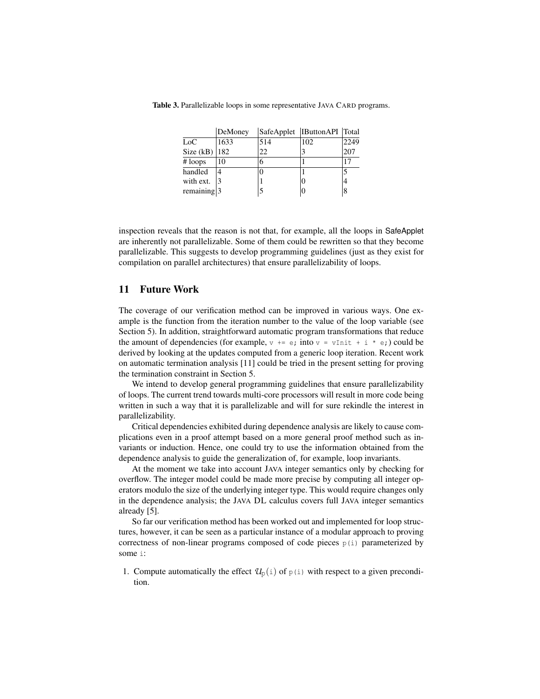|                   | DeMoney | SafeApplet  IButtonAPI  Total |     |      |
|-------------------|---------|-------------------------------|-----|------|
| Loc               | 1633    | 514                           | 102 | 2249 |
| Size $(kB)$   182 |         | 22                            |     | 207  |
| # loops           | 10      |                               |     |      |
| handled           |         |                               |     |      |
| with ext.         |         |                               |     |      |
| remaining $ 3$    |         |                               |     | 8    |

Table 3. Parallelizable loops in some representative JAVA CARD programs.

inspection reveals that the reason is not that, for example, all the loops in SafeApplet are inherently not parallelizable. Some of them could be rewritten so that they become parallelizable. This suggests to develop programming guidelines (just as they exist for compilation on parallel architectures) that ensure parallelizability of loops.

## 11 Future Work

The coverage of our verification method can be improved in various ways. One example is the function from the iteration number to the value of the loop variable (see Section 5). In addition, straightforward automatic program transformations that reduce the amount of dependencies (for example,  $v \neq e$ ; into  $v = v$ Init  $+ i \cdot e$ ;) could be derived by looking at the updates computed from a generic loop iteration. Recent work on automatic termination analysis [11] could be tried in the present setting for proving the termination constraint in Section 5.

We intend to develop general programming guidelines that ensure parallelizability of loops. The current trend towards multi-core processors will result in more code being written in such a way that it is parallelizable and will for sure rekindle the interest in parallelizability.

Critical dependencies exhibited during dependence analysis are likely to cause complications even in a proof attempt based on a more general proof method such as invariants or induction. Hence, one could try to use the information obtained from the dependence analysis to guide the generalization of, for example, loop invariants.

At the moment we take into account JAVA integer semantics only by checking for overflow. The integer model could be made more precise by computing all integer operators modulo the size of the underlying integer type. This would require changes only in the dependence analysis; the JAVA DL calculus covers full JAVA integer semantics already [5].

So far our verification method has been worked out and implemented for loop structures, however, it can be seen as a particular instance of a modular approach to proving correctness of non-linear programs composed of code pieces  $p(i)$  parameterized by some i:

1. Compute automatically the effect  $\mathcal{U}_p(i)$  of  $p(i)$  with respect to a given precondition.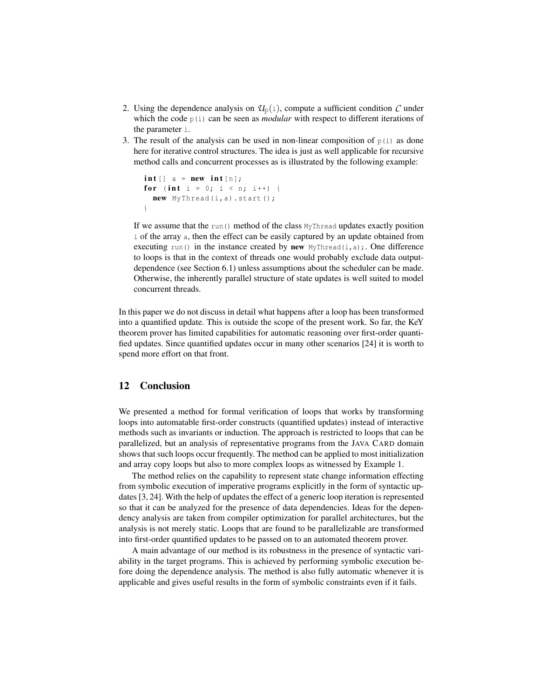- 2. Using the dependence analysis on  $\mathcal{U}_{p}(i)$ , compute a sufficient condition  $C$  under which the code  $p(i)$  can be seen as *modular* with respect to different iterations of the parameter i.
- 3. The result of the analysis can be used in non-linear composition of  $p(i)$  as done here for iterative control structures. The idea is just as well applicable for recursive method calls and concurrent processes as is illustrated by the following example:

```
int [ ] a = new int [n];
for (int i = 0; i < n; i++) {
  new MyThread (i, a). start ();
}
```
If we assume that the run() method of the class  $Mv$ Thread updates exactly position i of the array a, then the effect can be easily captured by an update obtained from executing run() in the instance created by **new** MyThread(i,a); One difference to loops is that in the context of threads one would probably exclude data outputdependence (see Section 6.1) unless assumptions about the scheduler can be made. Otherwise, the inherently parallel structure of state updates is well suited to model concurrent threads.

In this paper we do not discuss in detail what happens after a loop has been transformed into a quantified update. This is outside the scope of the present work. So far, the KeY theorem prover has limited capabilities for automatic reasoning over first-order quantified updates. Since quantified updates occur in many other scenarios [24] it is worth to spend more effort on that front.

## 12 Conclusion

We presented a method for formal verification of loops that works by transforming loops into automatable first-order constructs (quantified updates) instead of interactive methods such as invariants or induction. The approach is restricted to loops that can be parallelized, but an analysis of representative programs from the JAVA CARD domain shows that such loops occur frequently. The method can be applied to most initialization and array copy loops but also to more complex loops as witnessed by Example 1.

The method relies on the capability to represent state change information effecting from symbolic execution of imperative programs explicitly in the form of syntactic updates [3, 24]. With the help of updates the effect of a generic loop iteration is represented so that it can be analyzed for the presence of data dependencies. Ideas for the dependency analysis are taken from compiler optimization for parallel architectures, but the analysis is not merely static. Loops that are found to be parallelizable are transformed into first-order quantified updates to be passed on to an automated theorem prover.

A main advantage of our method is its robustness in the presence of syntactic variability in the target programs. This is achieved by performing symbolic execution before doing the dependence analysis. The method is also fully automatic whenever it is applicable and gives useful results in the form of symbolic constraints even if it fails.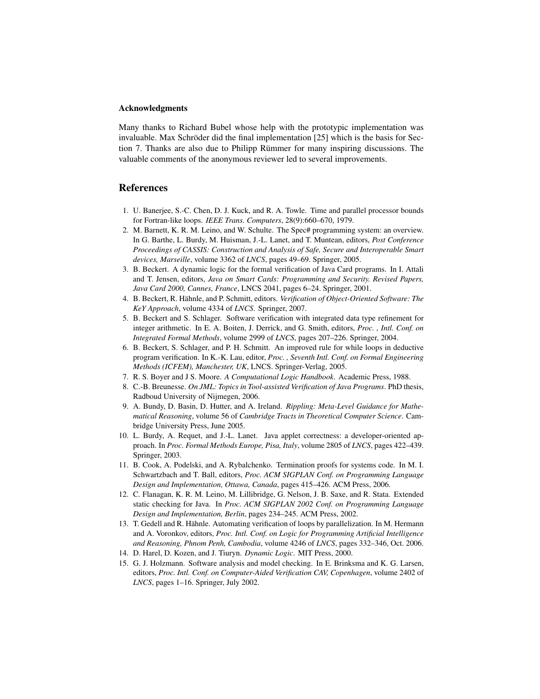#### Acknowledgments

Many thanks to Richard Bubel whose help with the prototypic implementation was invaluable. Max Schröder did the final implementation [25] which is the basis for Section 7. Thanks are also due to Philipp Rümmer for many inspiring discussions. The valuable comments of the anonymous reviewer led to several improvements.

## References

- 1. U. Banerjee, S.-C. Chen, D. J. Kuck, and R. A. Towle. Time and parallel processor bounds for Fortran-like loops. *IEEE Trans. Computers*, 28(9):660–670, 1979.
- 2. M. Barnett, K. R. M. Leino, and W. Schulte. The Spec# programming system: an overview. In G. Barthe, L. Burdy, M. Huisman, J.-L. Lanet, and T. Muntean, editors, *Post Conference Proceedings of CASSIS: Construction and Analysis of Safe, Secure and Interoperable Smart devices, Marseille*, volume 3362 of *LNCS*, pages 49–69. Springer, 2005.
- 3. B. Beckert. A dynamic logic for the formal verification of Java Card programs. In I. Attali and T. Jensen, editors, *Java on Smart Cards: Programming and Security. Revised Papers, Java Card 2000, Cannes, France*, LNCS 2041, pages 6–24. Springer, 2001.
- 4. B. Beckert, R. Hähnle, and P. Schmitt, editors. *Verification of Object-Oriented Software: The KeY Approach*, volume 4334 of *LNCS*. Springer, 2007.
- 5. B. Beckert and S. Schlager. Software verification with integrated data type refinement for integer arithmetic. In E. A. Boiten, J. Derrick, and G. Smith, editors, *Proc. , Intl. Conf. on Integrated Formal Methods*, volume 2999 of *LNCS*, pages 207–226. Springer, 2004.
- 6. B. Beckert, S. Schlager, and P. H. Schmitt. An improved rule for while loops in deductive program verification. In K.-K. Lau, editor, *Proc. , Seventh Intl. Conf. on Formal Engineering Methods (ICFEM), Manchester, UK*, LNCS. Springer-Verlag, 2005.
- 7. R. S. Boyer and J S. Moore. *A Computational Logic Handbook*. Academic Press, 1988.
- 8. C.-B. Breunesse. *On JML: Topics in Tool-assisted Verification of Java Programs*. PhD thesis, Radboud University of Nijmegen, 2006.
- 9. A. Bundy, D. Basin, D. Hutter, and A. Ireland. *Rippling: Meta-Level Guidance for Mathematical Reasoning*, volume 56 of *Cambridge Tracts in Theoretical Computer Science*. Cambridge University Press, June 2005.
- 10. L. Burdy, A. Requet, and J.-L. Lanet. Java applet correctness: a developer-oriented approach. In *Proc. Formal Methods Europe, Pisa, Italy*, volume 2805 of *LNCS*, pages 422–439. Springer, 2003.
- 11. B. Cook, A. Podelski, and A. Rybalchenko. Termination proofs for systems code. In M. I. Schwartzbach and T. Ball, editors, *Proc. ACM SIGPLAN Conf. on Programming Language Design and Implementation, Ottawa, Canada*, pages 415–426. ACM Press, 2006.
- 12. C. Flanagan, K. R. M. Leino, M. Lillibridge, G. Nelson, J. B. Saxe, and R. Stata. Extended static checking for Java. In *Proc. ACM SIGPLAN 2002 Conf. on Programming Language Design and Implementation, Berlin*, pages 234–245. ACM Press, 2002.
- 13. T. Gedell and R. Hähnle. Automating verification of loops by parallelization. In M. Hermann and A. Voronkov, editors, *Proc. Intl. Conf. on Logic for Programming Artificial Intelligence and Reasoning, Phnom Penh, Cambodia*, volume 4246 of *LNCS*, pages 332–346, Oct. 2006.
- 14. D. Harel, D. Kozen, and J. Tiuryn. *Dynamic Logic*. MIT Press, 2000.
- 15. G. J. Holzmann. Software analysis and model checking. In E. Brinksma and K. G. Larsen, editors, *Proc. Intl. Conf. on Computer-Aided Verification CAV, Copenhagen*, volume 2402 of *LNCS*, pages 1–16. Springer, July 2002.